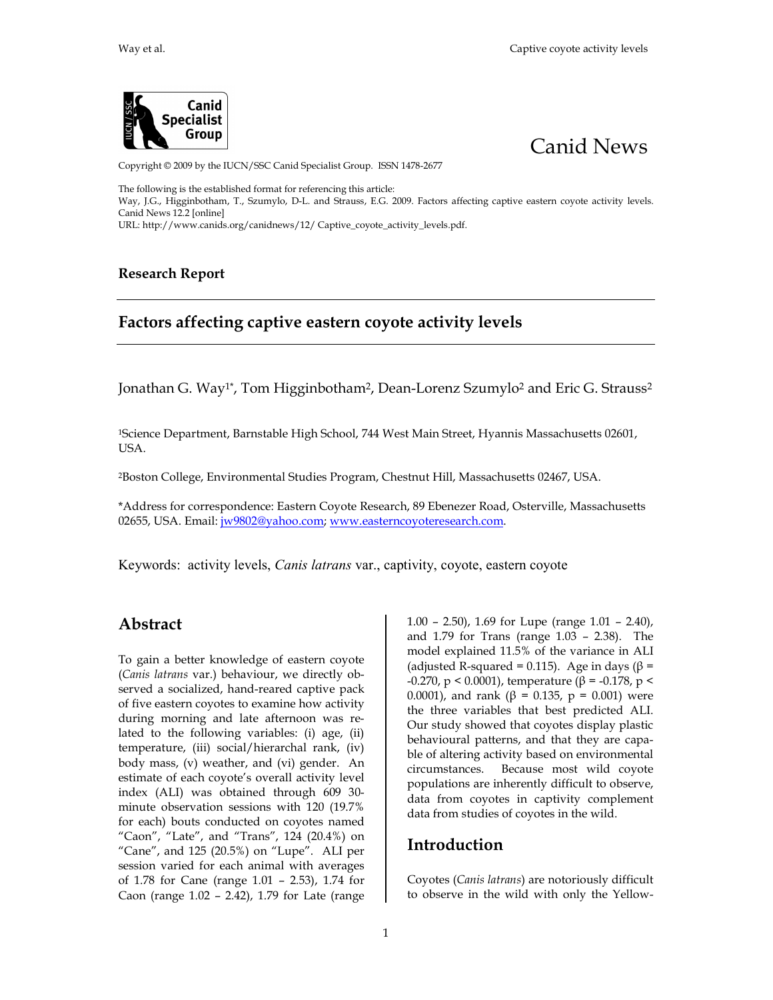



Copyright © 2009 by the IUCN/SSC Canid Specialist Group. ISSN 1478-2677

The following is the established format for referencing this article: Way, J.G., Higginbotham, T., Szumylo, D-L. and Strauss, E.G. 2009. Factors affecting captive eastern coyote activity levels. Canid News 12.2 [online]

URL: http://www.canids.org/canidnews/12/ Captive\_coyote\_activity\_levels.pdf.

#### **Research Report**

## **Factors affecting captive eastern coyote activity levels**

Jonathan G. Way<sup>1\*</sup>, Tom Higginbotham<sup>2</sup>, Dean-Lorenz Szumylo<sup>2</sup> and Eric G. Strauss<sup>2</sup>

<sup>1</sup>Science Department, Barnstable High School, 744 West Main Street, Hyannis Massachusetts 02601, USA.

<sup>2</sup>Boston College, Environmental Studies Program, Chestnut Hill, Massachusetts 02467, USA.

\*Address for correspondence: Eastern Coyote Research, 89 Ebenezer Road, Osterville, Massachusetts 02655, USA. Email: jw9802@yahoo.com; www.easterncoyoteresearch.com.

Keywords: activity levels, *Canis latrans* var., captivity, coyote, eastern coyote

### **Abstract**

To gain a better knowledge of eastern coyote (*Canis latrans* var.) behaviour, we directly observed a socialized, hand-reared captive pack of five eastern coyotes to examine how activity during morning and late afternoon was related to the following variables: (i) age, (ii) temperature, (iii) social/hierarchal rank, (iv) body mass, (v) weather, and (vi) gender. An estimate of each coyote's overall activity level index (ALI) was obtained through 609 30 minute observation sessions with 120 (19.7% for each) bouts conducted on coyotes named "Caon", "Late", and "Trans", 124 (20.4%) on "Cane", and 125 (20.5%) on "Lupe". ALI per session varied for each animal with averages of 1.78 for Cane (range 1.01 – 2.53), 1.74 for Caon (range 1.02 – 2.42), 1.79 for Late (range

1.00 – 2.50), 1.69 for Lupe (range 1.01 – 2.40), and 1.79 for Trans (range 1.03 – 2.38). The model explained 11.5% of the variance in ALI (adjusted R-squared = 0.115). Age in days ( $\beta$  = -0.270, p < 0.0001), temperature (β = -0.178, p < 0.0001), and rank (β = 0.135, p = 0.001) were the three variables that best predicted ALI. Our study showed that coyotes display plastic behavioural patterns, and that they are capable of altering activity based on environmental circumstances. Because most wild coyote populations are inherently difficult to observe, data from coyotes in captivity complement data from studies of coyotes in the wild.

#### **Introduction**

Coyotes (*Canis latrans*) are notoriously difficult to observe in the wild with only the Yellow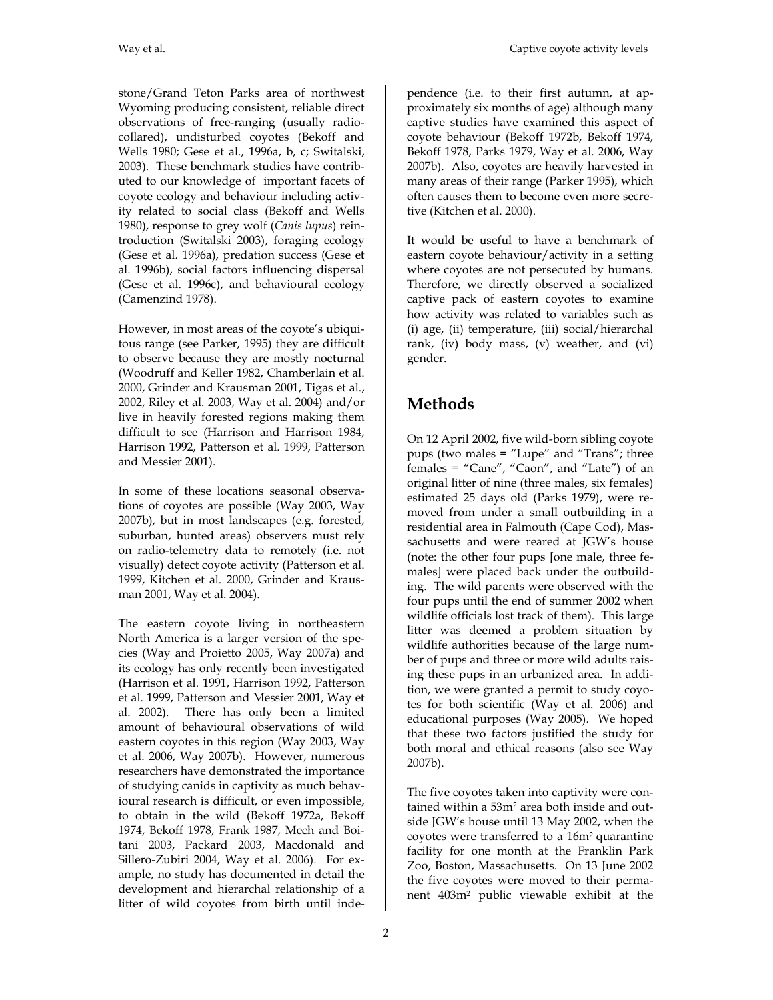stone/Grand Teton Parks area of northwest Wyoming producing consistent, reliable direct observations of free-ranging (usually radiocollared), undisturbed coyotes (Bekoff and Wells 1980; Gese et al., 1996a, b, c; Switalski, 2003). These benchmark studies have contributed to our knowledge of important facets of coyote ecology and behaviour including activity related to social class (Bekoff and Wells 1980), response to grey wolf (*Canis lupus*) reintroduction (Switalski 2003), foraging ecology (Gese et al. 1996a), predation success (Gese et al. 1996b), social factors influencing dispersal (Gese et al. 1996c), and behavioural ecology (Camenzind 1978).

However, in most areas of the coyote's ubiquitous range (see Parker, 1995) they are difficult to observe because they are mostly nocturnal (Woodruff and Keller 1982, Chamberlain et al. 2000, Grinder and Krausman 2001, Tigas et al., 2002, Riley et al. 2003, Way et al. 2004) and/or live in heavily forested regions making them difficult to see (Harrison and Harrison 1984, Harrison 1992, Patterson et al. 1999, Patterson and Messier 2001).

In some of these locations seasonal observations of coyotes are possible (Way 2003, Way 2007b), but in most landscapes (e.g. forested, suburban, hunted areas) observers must rely on radio-telemetry data to remotely (i.e. not visually) detect coyote activity (Patterson et al. 1999, Kitchen et al. 2000, Grinder and Krausman 2001, Way et al. 2004).

The eastern coyote living in northeastern North America is a larger version of the species (Way and Proietto 2005, Way 2007a) and its ecology has only recently been investigated (Harrison et al. 1991, Harrison 1992, Patterson et al. 1999, Patterson and Messier 2001, Way et al. 2002). There has only been a limited amount of behavioural observations of wild eastern coyotes in this region (Way 2003, Way et al. 2006, Way 2007b). However, numerous researchers have demonstrated the importance of studying canids in captivity as much behavioural research is difficult, or even impossible, to obtain in the wild (Bekoff 1972a, Bekoff 1974, Bekoff 1978, Frank 1987, Mech and Boitani 2003, Packard 2003, Macdonald and Sillero-Zubiri 2004, Way et al. 2006). For example, no study has documented in detail the development and hierarchal relationship of a litter of wild coyotes from birth until independence (i.e. to their first autumn, at approximately six months of age) although many captive studies have examined this aspect of coyote behaviour (Bekoff 1972b, Bekoff 1974, Bekoff 1978, Parks 1979, Way et al. 2006, Way 2007b). Also, coyotes are heavily harvested in many areas of their range (Parker 1995), which often causes them to become even more secretive (Kitchen et al. 2000).

It would be useful to have a benchmark of eastern coyote behaviour/activity in a setting where coyotes are not persecuted by humans. Therefore, we directly observed a socialized captive pack of eastern coyotes to examine how activity was related to variables such as (i) age, (ii) temperature, (iii) social/hierarchal rank, (iv) body mass, (v) weather, and (vi) gender.

# **Methods**

On 12 April 2002, five wild-born sibling coyote pups (two males = "Lupe" and "Trans"; three females = "Cane", "Caon", and "Late") of an original litter of nine (three males, six females) estimated 25 days old (Parks 1979), were removed from under a small outbuilding in a residential area in Falmouth (Cape Cod), Massachusetts and were reared at JGW's house (note: the other four pups [one male, three females] were placed back under the outbuilding. The wild parents were observed with the four pups until the end of summer 2002 when wildlife officials lost track of them). This large litter was deemed a problem situation by wildlife authorities because of the large number of pups and three or more wild adults raising these pups in an urbanized area. In addition, we were granted a permit to study coyotes for both scientific (Way et al. 2006) and educational purposes (Way 2005). We hoped that these two factors justified the study for both moral and ethical reasons (also see Way 2007b).

The five coyotes taken into captivity were contained within a 53m<sup>2</sup> area both inside and outside JGW's house until 13 May 2002, when the coyotes were transferred to a 16m<sup>2</sup> quarantine facility for one month at the Franklin Park Zoo, Boston, Massachusetts. On 13 June 2002 the five coyotes were moved to their permanent 403m<sup>2</sup> public viewable exhibit at the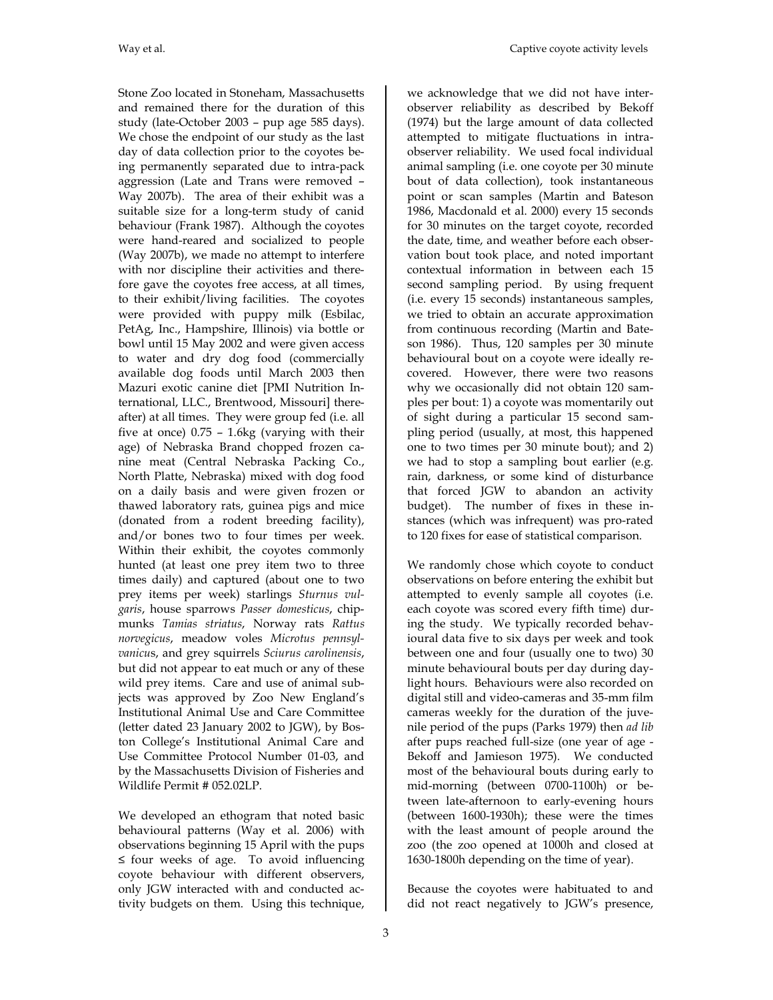Stone Zoo located in Stoneham, Massachusetts and remained there for the duration of this study (late-October 2003 – pup age 585 days). We chose the endpoint of our study as the last day of data collection prior to the coyotes being permanently separated due to intra-pack aggression (Late and Trans were removed – Way 2007b). The area of their exhibit was a suitable size for a long-term study of canid behaviour (Frank 1987). Although the coyotes were hand-reared and socialized to people (Way 2007b), we made no attempt to interfere with nor discipline their activities and therefore gave the coyotes free access, at all times, to their exhibit/living facilities. The coyotes were provided with puppy milk (Esbilac, PetAg, Inc., Hampshire, Illinois) via bottle or bowl until 15 May 2002 and were given access to water and dry dog food (commercially available dog foods until March 2003 then Mazuri exotic canine diet [PMI Nutrition International, LLC., Brentwood, Missouri] thereafter) at all times. They were group fed (i.e. all five at once) 0.75 – 1.6kg (varying with their age) of Nebraska Brand chopped frozen canine meat (Central Nebraska Packing Co., North Platte, Nebraska) mixed with dog food on a daily basis and were given frozen or thawed laboratory rats, guinea pigs and mice (donated from a rodent breeding facility), and/or bones two to four times per week. Within their exhibit, the coyotes commonly hunted (at least one prey item two to three times daily) and captured (about one to two prey items per week) starlings *Sturnus vulgaris*, house sparrows *Passer domesticus*, chipmunks *Tamias striatus*, Norway rats *Rattus norvegicus*, meadow voles *Microtus pennsylvanicu*s, and grey squirrels *Sciurus carolinensis*, but did not appear to eat much or any of these wild prey items. Care and use of animal subjects was approved by Zoo New England's Institutional Animal Use and Care Committee (letter dated 23 January 2002 to JGW), by Boston College's Institutional Animal Care and Use Committee Protocol Number 01-03, and by the Massachusetts Division of Fisheries and Wildlife Permit # 052.02LP.

We developed an ethogram that noted basic behavioural patterns (Way et al. 2006) with observations beginning 15 April with the pups ≤ four weeks of age. To avoid influencing coyote behaviour with different observers, only JGW interacted with and conducted activity budgets on them. Using this technique,

we acknowledge that we did not have interobserver reliability as described by Bekoff (1974) but the large amount of data collected attempted to mitigate fluctuations in intraobserver reliability. We used focal individual animal sampling (i.e. one coyote per 30 minute bout of data collection), took instantaneous point or scan samples (Martin and Bateson 1986, Macdonald et al. 2000) every 15 seconds for 30 minutes on the target coyote, recorded the date, time, and weather before each observation bout took place, and noted important contextual information in between each 15 second sampling period. By using frequent (i.e. every 15 seconds) instantaneous samples, we tried to obtain an accurate approximation from continuous recording (Martin and Bateson 1986). Thus, 120 samples per 30 minute behavioural bout on a coyote were ideally recovered. However, there were two reasons why we occasionally did not obtain 120 samples per bout: 1) a coyote was momentarily out of sight during a particular 15 second sampling period (usually, at most, this happened one to two times per 30 minute bout); and 2) we had to stop a sampling bout earlier (e.g. rain, darkness, or some kind of disturbance that forced JGW to abandon an activity budget). The number of fixes in these instances (which was infrequent) was pro-rated to 120 fixes for ease of statistical comparison.

We randomly chose which coyote to conduct observations on before entering the exhibit but attempted to evenly sample all coyotes (i.e. each coyote was scored every fifth time) during the study. We typically recorded behavioural data five to six days per week and took between one and four (usually one to two) 30 minute behavioural bouts per day during daylight hours. Behaviours were also recorded on digital still and video-cameras and 35-mm film cameras weekly for the duration of the juvenile period of the pups (Parks 1979) then *ad lib* after pups reached full-size (one year of age - Bekoff and Jamieson 1975). We conducted most of the behavioural bouts during early to mid-morning (between 0700-1100h) or between late-afternoon to early-evening hours (between 1600-1930h); these were the times with the least amount of people around the zoo (the zoo opened at 1000h and closed at 1630-1800h depending on the time of year).

Because the coyotes were habituated to and did not react negatively to JGW's presence,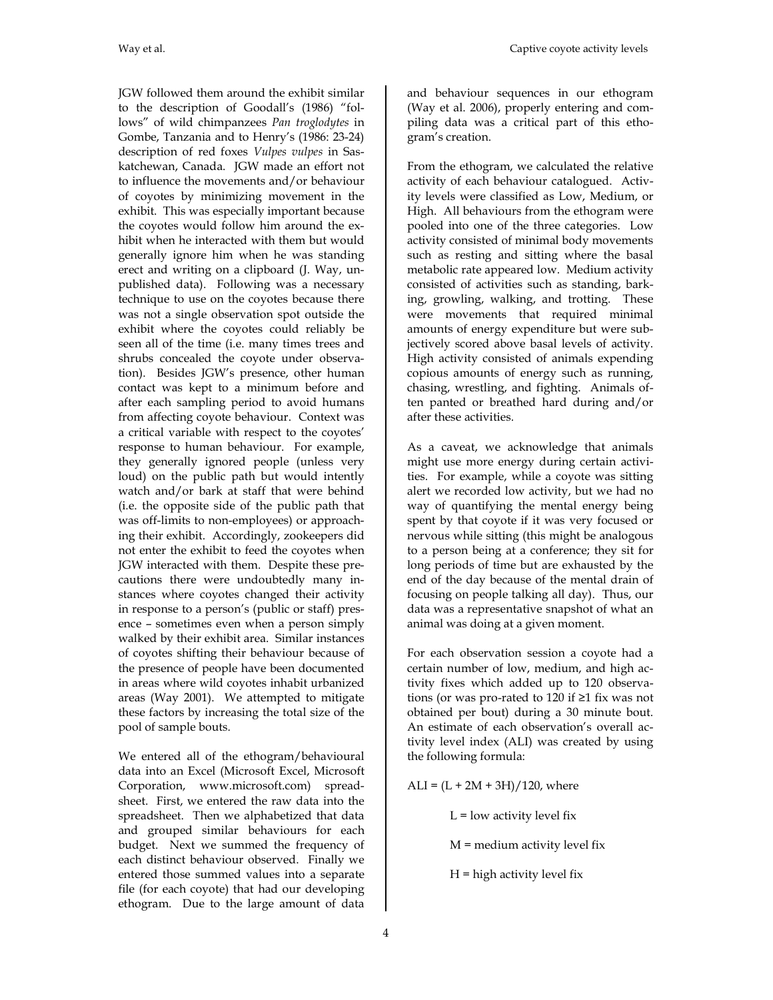JGW followed them around the exhibit similar to the description of Goodall's (1986) "follows" of wild chimpanzees *Pan troglodytes* in Gombe, Tanzania and to Henry's (1986: 23-24) description of red foxes *Vulpes vulpes* in Saskatchewan, Canada. JGW made an effort not to influence the movements and/or behaviour of coyotes by minimizing movement in the exhibit. This was especially important because the coyotes would follow him around the exhibit when he interacted with them but would generally ignore him when he was standing erect and writing on a clipboard (J. Way, unpublished data). Following was a necessary technique to use on the coyotes because there was not a single observation spot outside the exhibit where the coyotes could reliably be seen all of the time (i.e. many times trees and shrubs concealed the coyote under observation). Besides JGW's presence, other human contact was kept to a minimum before and after each sampling period to avoid humans from affecting coyote behaviour. Context was a critical variable with respect to the coyotes' response to human behaviour. For example, they generally ignored people (unless very loud) on the public path but would intently watch and/or bark at staff that were behind (i.e. the opposite side of the public path that was off-limits to non-employees) or approaching their exhibit. Accordingly, zookeepers did not enter the exhibit to feed the coyotes when JGW interacted with them. Despite these precautions there were undoubtedly many instances where coyotes changed their activity in response to a person's (public or staff) presence – sometimes even when a person simply walked by their exhibit area. Similar instances of coyotes shifting their behaviour because of the presence of people have been documented in areas where wild coyotes inhabit urbanized areas (Way 2001). We attempted to mitigate these factors by increasing the total size of the pool of sample bouts.

We entered all of the ethogram/behavioural data into an Excel (Microsoft Excel, Microsoft Corporation, www.microsoft.com) spreadsheet. First, we entered the raw data into the spreadsheet. Then we alphabetized that data and grouped similar behaviours for each budget. Next we summed the frequency of each distinct behaviour observed. Finally we entered those summed values into a separate file (for each coyote) that had our developing ethogram. Due to the large amount of data

and behaviour sequences in our ethogram (Way et al. 2006), properly entering and compiling data was a critical part of this ethogram's creation.

From the ethogram, we calculated the relative activity of each behaviour catalogued. Activity levels were classified as Low, Medium, or High. All behaviours from the ethogram were pooled into one of the three categories. Low activity consisted of minimal body movements such as resting and sitting where the basal metabolic rate appeared low. Medium activity consisted of activities such as standing, barking, growling, walking, and trotting. These were movements that required minimal amounts of energy expenditure but were subjectively scored above basal levels of activity. High activity consisted of animals expending copious amounts of energy such as running, chasing, wrestling, and fighting. Animals often panted or breathed hard during and/or after these activities.

As a caveat, we acknowledge that animals might use more energy during certain activities. For example, while a coyote was sitting alert we recorded low activity, but we had no way of quantifying the mental energy being spent by that coyote if it was very focused or nervous while sitting (this might be analogous to a person being at a conference; they sit for long periods of time but are exhausted by the end of the day because of the mental drain of focusing on people talking all day). Thus, our data was a representative snapshot of what an animal was doing at a given moment.

For each observation session a coyote had a certain number of low, medium, and high activity fixes which added up to 120 observations (or was pro-rated to 120 if ≥1 fix was not obtained per bout) during a 30 minute bout. An estimate of each observation's overall activity level index (ALI) was created by using the following formula:

 $ALI = (L + 2M + 3H)/120$ , where

 $L =$ low activity level fix

M = medium activity level fix

 $H =$  high activity level fix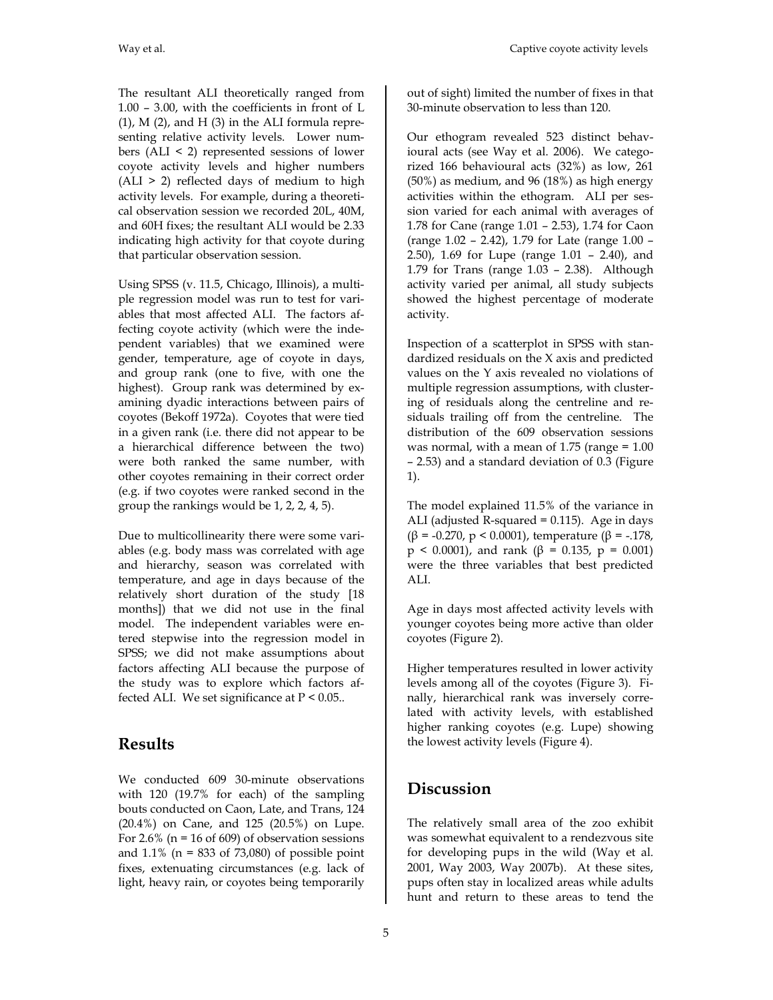The resultant ALI theoretically ranged from 1.00 – 3.00, with the coefficients in front of L  $(1)$ , M $(2)$ , and H $(3)$  in the ALI formula representing relative activity levels. Lower numbers (ALI < 2) represented sessions of lower coyote activity levels and higher numbers (ALI > 2) reflected days of medium to high activity levels. For example, during a theoretical observation session we recorded 20L, 40M, and 60H fixes; the resultant ALI would be 2.33 indicating high activity for that coyote during that particular observation session.

Using SPSS (v. 11.5, Chicago, Illinois), a multiple regression model was run to test for variables that most affected ALI. The factors affecting coyote activity (which were the independent variables) that we examined were gender, temperature, age of coyote in days, and group rank (one to five, with one the highest). Group rank was determined by examining dyadic interactions between pairs of coyotes (Bekoff 1972a). Coyotes that were tied in a given rank (i.e. there did not appear to be a hierarchical difference between the two) were both ranked the same number, with other coyotes remaining in their correct order (e.g. if two coyotes were ranked second in the group the rankings would be 1, 2, 2, 4, 5).

Due to multicollinearity there were some variables (e.g. body mass was correlated with age and hierarchy, season was correlated with temperature, and age in days because of the relatively short duration of the study [18 months]) that we did not use in the final model. The independent variables were entered stepwise into the regression model in SPSS; we did not make assumptions about factors affecting ALI because the purpose of the study was to explore which factors affected ALI. We set significance at P < 0.05..

## **Results**

We conducted 609 30-minute observations with 120 (19.7% for each) of the sampling bouts conducted on Caon, Late, and Trans, 124 (20.4%) on Cane, and 125 (20.5%) on Lupe. For 2.6% ( $n = 16$  of 609) of observation sessions and  $1.1\%$  (n = 833 of 73,080) of possible point fixes, extenuating circumstances (e.g. lack of light, heavy rain, or coyotes being temporarily

out of sight) limited the number of fixes in that 30-minute observation to less than 120.

Our ethogram revealed 523 distinct behavioural acts (see Way et al. 2006). We categorized 166 behavioural acts (32%) as low, 261 (50%) as medium, and 96 (18%) as high energy activities within the ethogram. ALI per session varied for each animal with averages of 1.78 for Cane (range 1.01 – 2.53), 1.74 for Caon (range 1.02 – 2.42), 1.79 for Late (range 1.00 – 2.50), 1.69 for Lupe (range 1.01 – 2.40), and 1.79 for Trans (range 1.03 – 2.38). Although activity varied per animal, all study subjects showed the highest percentage of moderate activity.

Inspection of a scatterplot in SPSS with standardized residuals on the X axis and predicted values on the Y axis revealed no violations of multiple regression assumptions, with clustering of residuals along the centreline and residuals trailing off from the centreline. The distribution of the 609 observation sessions was normal, with a mean of  $1.75$  (range =  $1.00$ ) – 2.53) and a standard deviation of 0.3 (Figure 1).

The model explained 11.5% of the variance in ALI (adjusted R-squared  $= 0.115$ ). Age in days (β = -0.270, p < 0.0001), temperature (β = -.178, p < 0.0001), and rank (β = 0.135, p = 0.001) were the three variables that best predicted ALI.

Age in days most affected activity levels with younger coyotes being more active than older coyotes (Figure 2).

Higher temperatures resulted in lower activity levels among all of the coyotes (Figure 3). Finally, hierarchical rank was inversely correlated with activity levels, with established higher ranking coyotes (e.g. Lupe) showing the lowest activity levels (Figure 4).

# **Discussion**

The relatively small area of the zoo exhibit was somewhat equivalent to a rendezvous site for developing pups in the wild (Way et al. 2001, Way 2003, Way 2007b). At these sites, pups often stay in localized areas while adults hunt and return to these areas to tend the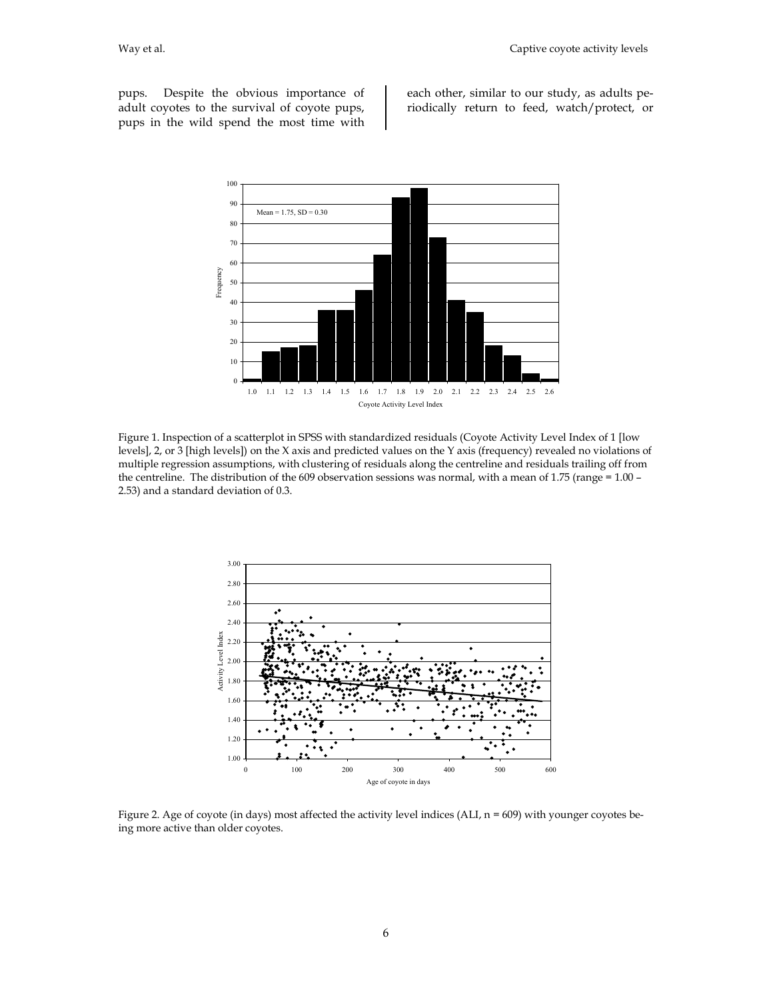pups. Despite the obvious importance of adult coyotes to the survival of coyote pups, pups in the wild spend the most time with

each other, similar to our study, as adults periodically return to feed, watch/protect, or



Figure 1. Inspection of a scatterplot in SPSS with standardized residuals (Coyote Activity Level Index of 1 [low levels], 2, or 3 [high levels]) on the X axis and predicted values on the Y axis (frequency) revealed no violations of multiple regression assumptions, with clustering of residuals along the centreline and residuals trailing off from the centreline. The distribution of the 609 observation sessions was normal, with a mean of 1.75 (range = 1.00 – 2.53) and a standard deviation of 0.3.



Figure 2. Age of coyote (in days) most affected the activity level indices (ALI,  $n = 609$ ) with younger coyotes being more active than older coyotes.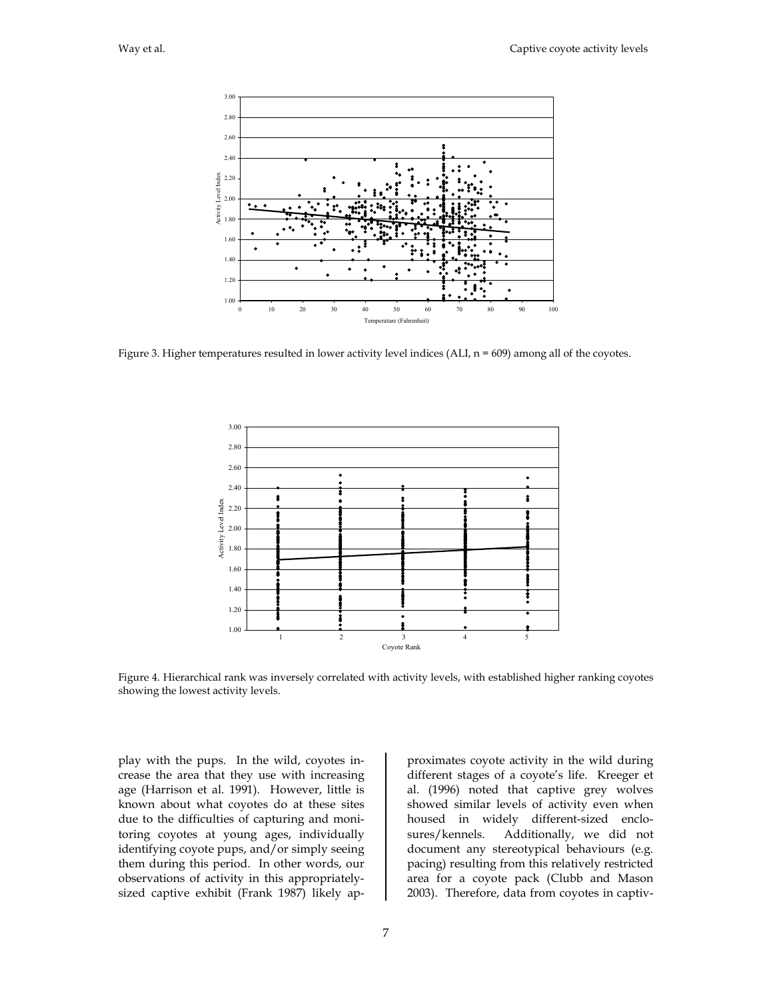

Figure 3. Higher temperatures resulted in lower activity level indices (ALI,  $n = 609$ ) among all of the coyotes.



Figure 4. Hierarchical rank was inversely correlated with activity levels, with established higher ranking coyotes showing the lowest activity levels.

play with the pups. In the wild, coyotes increase the area that they use with increasing age (Harrison et al. 1991). However, little is known about what coyotes do at these sites due to the difficulties of capturing and monitoring coyotes at young ages, individually identifying coyote pups, and/or simply seeing them during this period. In other words, our observations of activity in this appropriatelysized captive exhibit (Frank 1987) likely approximates coyote activity in the wild during different stages of a coyote's life. Kreeger et al. (1996) noted that captive grey wolves showed similar levels of activity even when housed in widely different-sized enclosures/kennels. Additionally, we did not document any stereotypical behaviours (e.g. pacing) resulting from this relatively restricted area for a coyote pack (Clubb and Mason 2003). Therefore, data from coyotes in captiv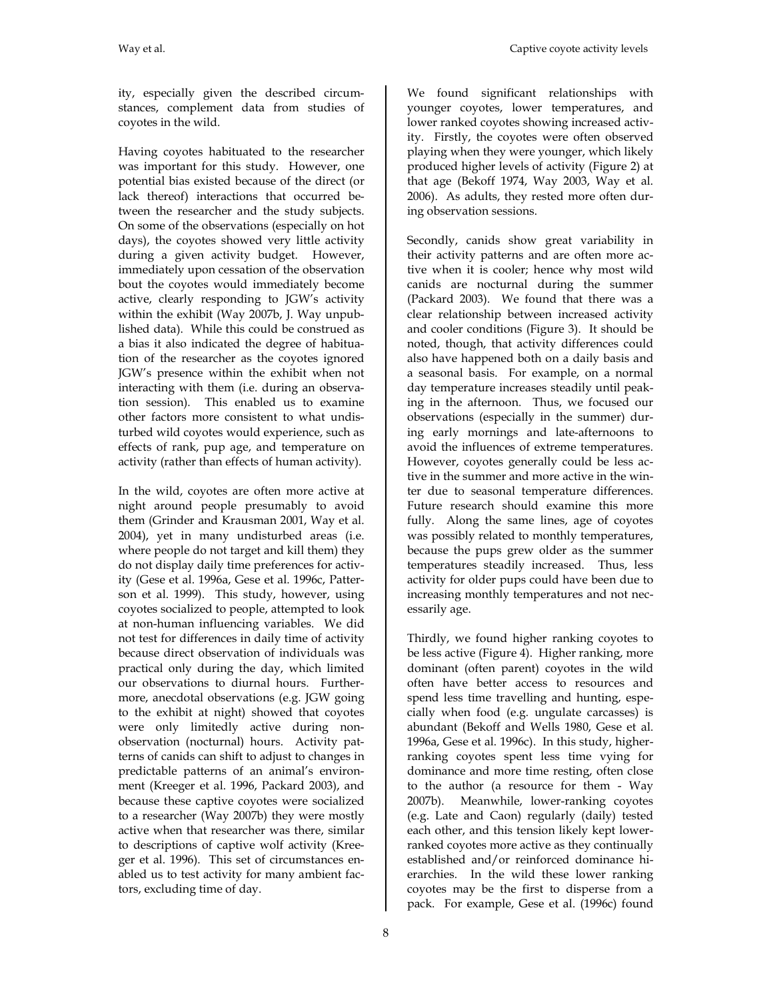ity, especially given the described circumstances, complement data from studies of coyotes in the wild.

Having coyotes habituated to the researcher was important for this study. However, one potential bias existed because of the direct (or lack thereof) interactions that occurred between the researcher and the study subjects. On some of the observations (especially on hot days), the coyotes showed very little activity during a given activity budget. However, immediately upon cessation of the observation bout the coyotes would immediately become active, clearly responding to JGW's activity within the exhibit (Way 2007b, J. Way unpublished data). While this could be construed as a bias it also indicated the degree of habituation of the researcher as the coyotes ignored JGW's presence within the exhibit when not interacting with them (i.e. during an observation session). This enabled us to examine other factors more consistent to what undisturbed wild coyotes would experience, such as effects of rank, pup age, and temperature on activity (rather than effects of human activity).

In the wild, coyotes are often more active at night around people presumably to avoid them (Grinder and Krausman 2001, Way et al. 2004), yet in many undisturbed areas (i.e. where people do not target and kill them) they do not display daily time preferences for activity (Gese et al. 1996a, Gese et al. 1996c, Patterson et al. 1999). This study, however, using coyotes socialized to people, attempted to look at non-human influencing variables. We did not test for differences in daily time of activity because direct observation of individuals was practical only during the day, which limited our observations to diurnal hours. Furthermore, anecdotal observations (e.g. JGW going to the exhibit at night) showed that coyotes were only limitedly active during nonobservation (nocturnal) hours. Activity patterns of canids can shift to adjust to changes in predictable patterns of an animal's environment (Kreeger et al. 1996, Packard 2003), and because these captive coyotes were socialized to a researcher (Way 2007b) they were mostly active when that researcher was there, similar to descriptions of captive wolf activity (Kreeger et al. 1996). This set of circumstances enabled us to test activity for many ambient factors, excluding time of day.

We found significant relationships with younger coyotes, lower temperatures, and lower ranked coyotes showing increased activity. Firstly, the coyotes were often observed playing when they were younger, which likely produced higher levels of activity (Figure 2) at that age (Bekoff 1974, Way 2003, Way et al. 2006). As adults, they rested more often during observation sessions.

Secondly, canids show great variability in their activity patterns and are often more active when it is cooler; hence why most wild canids are nocturnal during the summer (Packard 2003). We found that there was a clear relationship between increased activity and cooler conditions (Figure 3). It should be noted, though, that activity differences could also have happened both on a daily basis and a seasonal basis. For example, on a normal day temperature increases steadily until peaking in the afternoon. Thus, we focused our observations (especially in the summer) during early mornings and late-afternoons to avoid the influences of extreme temperatures. However, coyotes generally could be less active in the summer and more active in the winter due to seasonal temperature differences. Future research should examine this more fully. Along the same lines, age of coyotes was possibly related to monthly temperatures, because the pups grew older as the summer temperatures steadily increased. Thus, less activity for older pups could have been due to increasing monthly temperatures and not necessarily age.

Thirdly, we found higher ranking coyotes to be less active (Figure 4). Higher ranking, more dominant (often parent) coyotes in the wild often have better access to resources and spend less time travelling and hunting, especially when food (e.g. ungulate carcasses) is abundant (Bekoff and Wells 1980, Gese et al. 1996a, Gese et al. 1996c). In this study, higherranking coyotes spent less time vying for dominance and more time resting, often close to the author (a resource for them - Way 2007b). Meanwhile, lower-ranking coyotes (e.g. Late and Caon) regularly (daily) tested each other, and this tension likely kept lowerranked coyotes more active as they continually established and/or reinforced dominance hierarchies. In the wild these lower ranking coyotes may be the first to disperse from a pack. For example, Gese et al. (1996c) found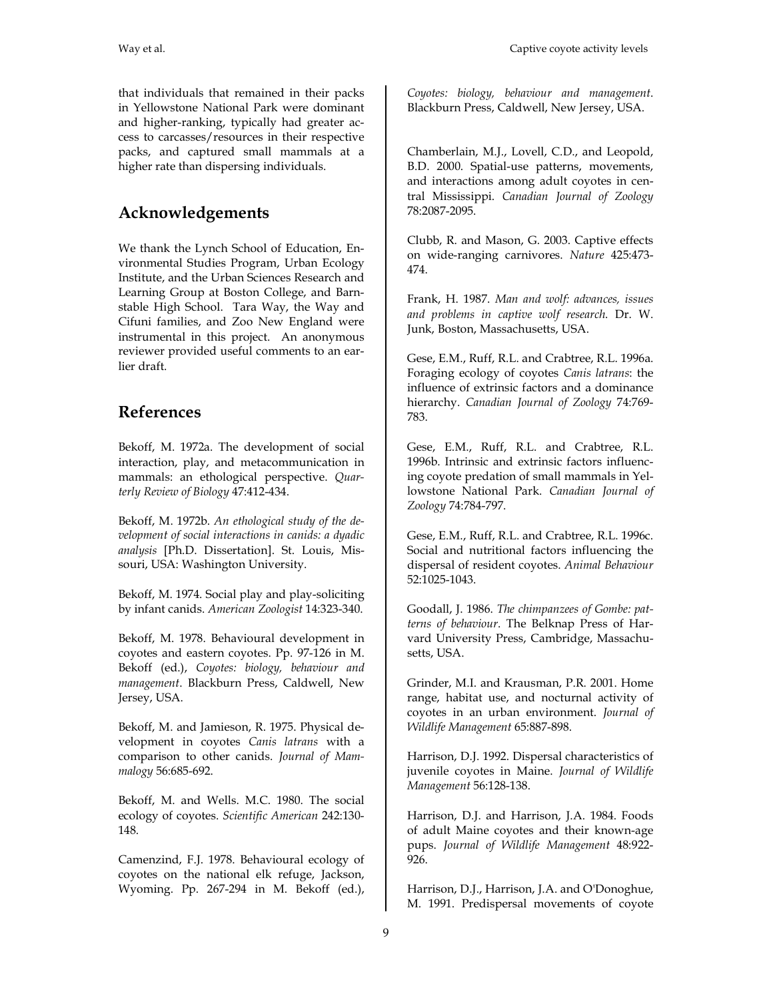that individuals that remained in their packs in Yellowstone National Park were dominant and higher-ranking, typically had greater access to carcasses/resources in their respective packs, and captured small mammals at a higher rate than dispersing individuals.

### **Acknowledgements**

We thank the Lynch School of Education, Environmental Studies Program, Urban Ecology Institute, and the Urban Sciences Research and Learning Group at Boston College, and Barnstable High School. Tara Way, the Way and Cifuni families, and Zoo New England were instrumental in this project. An anonymous reviewer provided useful comments to an earlier draft.

## **References**

Bekoff, M. 1972a. The development of social interaction, play, and metacommunication in mammals: an ethological perspective. *Quarterly Review of Biology* 47:412-434.

Bekoff, M. 1972b. *An ethological study of the development of social interactions in canids: a dyadic analysis* [Ph.D. Dissertation]. St. Louis, Missouri, USA: Washington University.

Bekoff, M. 1974. Social play and play-soliciting by infant canids. *American Zoologist* 14:323-340.

Bekoff, M. 1978. Behavioural development in coyotes and eastern coyotes. Pp. 97-126 in M. Bekoff (ed.), *Coyotes: biology, behaviour and management*. Blackburn Press, Caldwell, New Jersey, USA.

Bekoff, M. and Jamieson, R. 1975. Physical development in coyotes *Canis latrans* with a comparison to other canids. *Journal of Mammalogy* 56:685-692.

Bekoff, M. and Wells. M.C. 1980. The social ecology of coyotes. *Scientific American* 242:130- 148.

Camenzind, F.J. 1978. Behavioural ecology of coyotes on the national elk refuge, Jackson, Wyoming. Pp. 267-294 in M. Bekoff (ed.),

*Coyotes: biology, behaviour and management*. Blackburn Press, Caldwell, New Jersey, USA.

Chamberlain, M.J., Lovell, C.D., and Leopold, B.D. 2000. Spatial-use patterns, movements, and interactions among adult coyotes in central Mississippi. *Canadian Journal of Zoology* 78:2087-2095.

Clubb, R. and Mason, G. 2003. Captive effects on wide-ranging carnivores. *Nature* 425:473- 474.

Frank, H. 1987. *Man and wolf: advances, issues and problems in captive wolf research*. Dr. W. Junk, Boston, Massachusetts, USA.

Gese, E.M., Ruff, R.L. and Crabtree, R.L. 1996a. Foraging ecology of coyotes *Canis latrans*: the influence of extrinsic factors and a dominance hierarchy. *Canadian Journal of Zoology* 74:769- 783.

Gese, E.M., Ruff, R.L. and Crabtree, R.L. 1996b. Intrinsic and extrinsic factors influencing coyote predation of small mammals in Yellowstone National Park. *Canadian Journal of Zoology* 74:784-797.

Gese, E.M., Ruff, R.L. and Crabtree, R.L. 1996c. Social and nutritional factors influencing the dispersal of resident coyotes. *Animal Behaviour* 52:1025-1043.

Goodall, J. 1986. *The chimpanzees of Gombe: patterns of behaviour*. The Belknap Press of Harvard University Press, Cambridge, Massachusetts, USA.

Grinder, M.I. and Krausman, P.R. 2001. Home range, habitat use, and nocturnal activity of coyotes in an urban environment. *Journal of Wildlife Management* 65:887-898.

Harrison, D.J. 1992. Dispersal characteristics of juvenile coyotes in Maine. *Journal of Wildlife Management* 56:128-138.

Harrison, D.J. and Harrison, J.A. 1984. Foods of adult Maine coyotes and their known-age pups. *Journal of Wildlife Management* 48:922- 926.

Harrison, D.J., Harrison, J.A. and O'Donoghue, M. 1991. Predispersal movements of coyote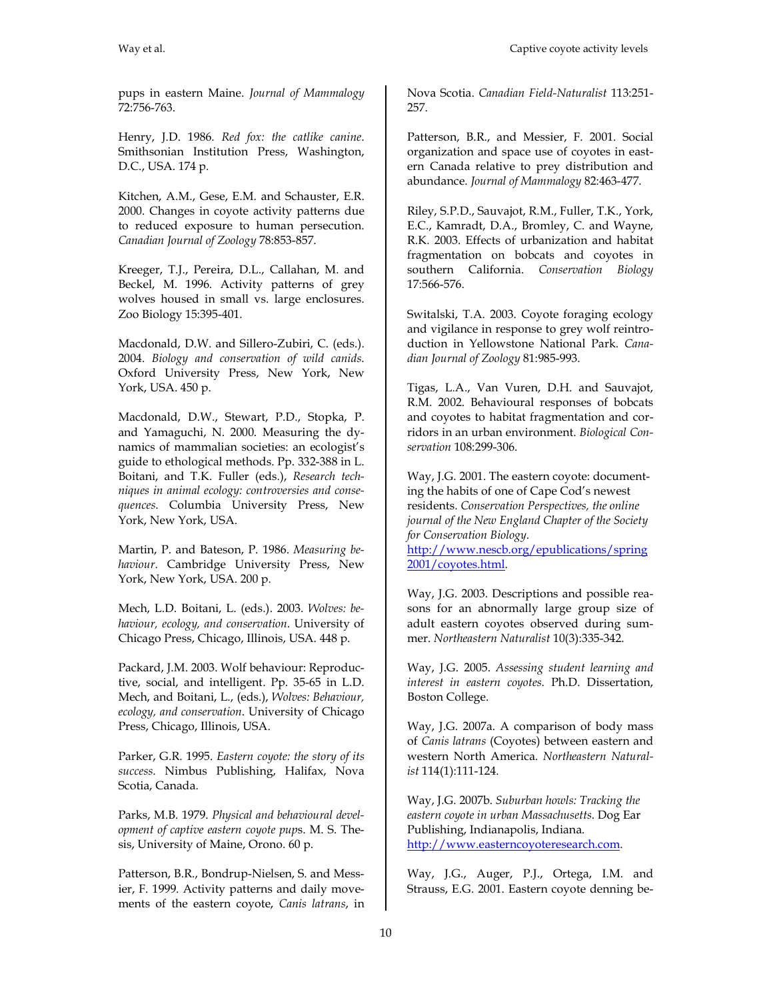pups in eastern Maine. *Journal of Mammalogy* 72:756-763.

Henry, J.D. 1986. *Red fox: the catlike canine*. Smithsonian Institution Press, Washington, D.C., USA. 174 p.

Kitchen, A.M., Gese, E.M. and Schauster, E.R. 2000. Changes in coyote activity patterns due to reduced exposure to human persecution. *Canadian Journal of Zoology* 78:853-857.

Kreeger, T.J., Pereira, D.L., Callahan, M. and Beckel, M. 1996. Activity patterns of grey wolves housed in small vs. large enclosures. Zoo Biology 15:395-401.

Macdonald, D.W. and Sillero-Zubiri, C. (eds.). 2004. *Biology and conservation of wild canids*. Oxford University Press, New York, New York, USA. 450 p.

Macdonald, D.W., Stewart, P.D., Stopka, P. and Yamaguchi, N. 2000. Measuring the dynamics of mammalian societies: an ecologist's guide to ethological methods. Pp. 332-388 in L. Boitani, and T.K. Fuller (eds.), *Research techniques in animal ecology: controversies and consequences*. Columbia University Press, New York, New York, USA.

Martin, P. and Bateson, P. 1986. *Measuring behaviour*. Cambridge University Press, New York, New York, USA. 200 p.

Mech, L.D. Boitani, L. (eds.). 2003. *Wolves: behaviour, ecology, and conservation*. University of Chicago Press, Chicago, Illinois, USA. 448 p.

Packard, J.M. 2003. Wolf behaviour: Reproductive, social, and intelligent. Pp. 35-65 in L.D. Mech, and Boitani, L., (eds.), *Wolves: Behaviour, ecology, and conservation*. University of Chicago Press, Chicago, Illinois, USA.

Parker, G.R. 1995. *Eastern coyote: the story of its success*. Nimbus Publishing, Halifax, Nova Scotia, Canada.

Parks, M.B. 1979. *Physical and behavioural development of captive eastern coyote pup*s. M. S. Thesis, University of Maine, Orono. 60 p.

Patterson, B.R., Bondrup-Nielsen, S. and Messier, F. 1999. Activity patterns and daily movements of the eastern coyote, *Canis latrans*, in Nova Scotia. *Canadian Field-Naturalist* 113:251- 257.

Patterson, B.R., and Messier, F. 2001. Social organization and space use of coyotes in eastern Canada relative to prey distribution and abundance. *Journal of Mammalogy* 82:463-477.

Riley, S.P.D., Sauvajot, R.M., Fuller, T.K., York, E.C., Kamradt, D.A., Bromley, C. and Wayne, R.K. 2003. Effects of urbanization and habitat fragmentation on bobcats and coyotes in southern California. *Conservation Biology* 17:566-576.

Switalski, T.A. 2003. Coyote foraging ecology and vigilance in response to grey wolf reintroduction in Yellowstone National Park. *Canadian Journal of Zoology* 81:985-993.

Tigas, L.A., Van Vuren, D.H. and Sauvajot, R.M. 2002. Behavioural responses of bobcats and coyotes to habitat fragmentation and corridors in an urban environment. *Biological Conservation* 108:299-306.

Way, J.G. 2001. The eastern coyote: documenting the habits of one of Cape Cod's newest residents. *Conservation Perspectives, the online journal of the New England Chapter of the Society for Conservation Biology*.

http://www.nescb.org/epublications/spring 2001/coyotes.html.

Way, J.G. 2003. Descriptions and possible reasons for an abnormally large group size of adult eastern coyotes observed during summer. *Northeastern Naturalist* 10(3):335-342.

Way, J.G. 2005. *Assessing student learning and interest in eastern coyotes*. Ph.D. Dissertation, Boston College.

Way, J.G. 2007a. A comparison of body mass of *Canis latrans* (Coyotes) between eastern and western North America. *Northeastern Naturalist* 114(1):111-124.

Way, J.G. 2007b. *Suburban howls: Tracking the eastern coyote in urban Massachusetts*. Dog Ear Publishing, Indianapolis, Indiana. http://www.easterncoyoteresearch.com.

Way, J.G., Auger, P.J., Ortega, I.M. and Strauss, E.G. 2001. Eastern coyote denning be